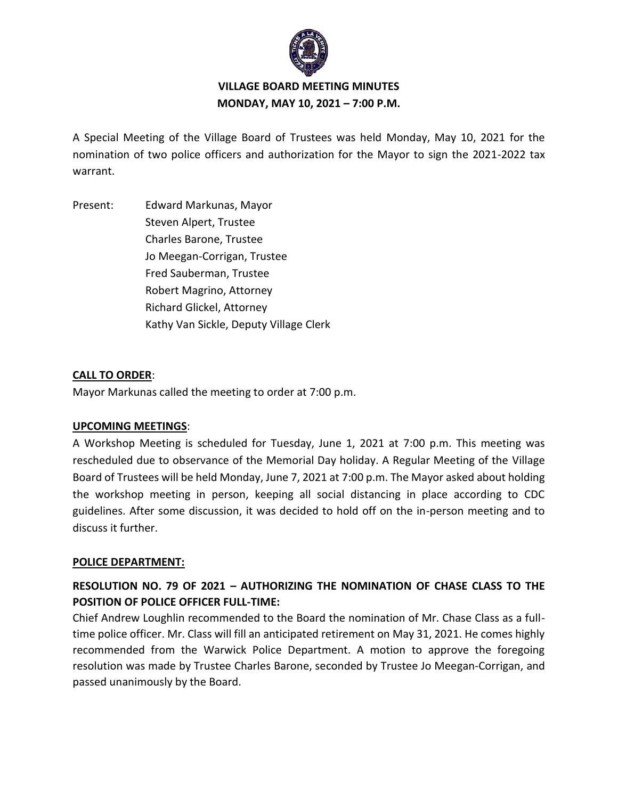

# **VILLAGE BOARD MEETING MINUTES MONDAY, MAY 10, 2021 – 7:00 P.M.**

A Special Meeting of the Village Board of Trustees was held Monday, May 10, 2021 for the nomination of two police officers and authorization for the Mayor to sign the 2021-2022 tax warrant.

Present: Edward Markunas, Mayor Steven Alpert, Trustee Charles Barone, Trustee Jo Meegan-Corrigan, Trustee Fred Sauberman, Trustee Robert Magrino, Attorney Richard Glickel, Attorney Kathy Van Sickle, Deputy Village Clerk

## **CALL TO ORDER**:

Mayor Markunas called the meeting to order at 7:00 p.m.

### **UPCOMING MEETINGS**:

A Workshop Meeting is scheduled for Tuesday, June 1, 2021 at 7:00 p.m. This meeting was rescheduled due to observance of the Memorial Day holiday. A Regular Meeting of the Village Board of Trustees will be held Monday, June 7, 2021 at 7:00 p.m. The Mayor asked about holding the workshop meeting in person, keeping all social distancing in place according to CDC guidelines. After some discussion, it was decided to hold off on the in-person meeting and to discuss it further.

### **POLICE DEPARTMENT:**

# **RESOLUTION NO. 79 OF 2021 – AUTHORIZING THE NOMINATION OF CHASE CLASS TO THE POSITION OF POLICE OFFICER FULL-TIME:**

Chief Andrew Loughlin recommended to the Board the nomination of Mr. Chase Class as a fulltime police officer. Mr. Class will fill an anticipated retirement on May 31, 2021. He comes highly recommended from the Warwick Police Department. A motion to approve the foregoing resolution was made by Trustee Charles Barone, seconded by Trustee Jo Meegan-Corrigan, and passed unanimously by the Board.